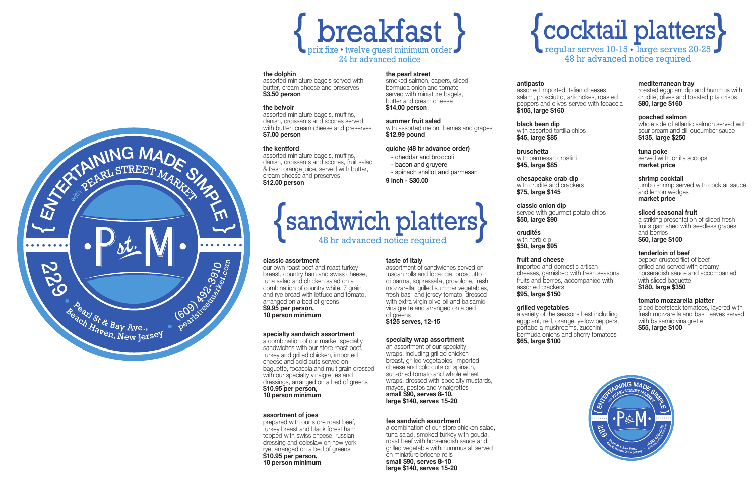**bruschetta** with parmesan crostini **\$45, large \$85 \$45, large \$85 \$45, large \$85 bruschetta** with parmesan crostini with parmesan crostini **bruschet** 

**crudités crudités**  with herb dip **\$50, large \$95 \$50, large \$95 \$50, large \$95 crudités**  with herb dip

#### **mediterranean tray mediterranean tray derranean tray**

#### **shrimp cocktail shrimp cockta**

**specialty wrap assortment specialty wrap assortment specialty wrap assortment**  { entrées } an assortment of our specialty wraps, including grilled chicken wraps, including grilled chicken wraps, including grilled chicken breast, grilled vegetables, imported cheese and cold cuts on spinach, sun-dried tomato and whole wheat wraps, dressed with specialty mustards,

mapo, areseed with specially mastardo,<br>mayos, pestos and vinaigrettes  $\frac{1}{2}$  small \$90, serves 8-10, large \$140, serves 15-20

- spinach shallot and parmesan

sandwiches with our store roast beef, which turkey and grilled chicken, imported cheese and cold cuts served on cheese and cold cuts served on cheese and cold cuts served on baguette, focaccia and multigrain dressed baguette, focaccia and multigrain dressed baguette, focaccia and multigrain dressed with our specialty vinaigrettes and with our specialty vinaigrettes and with our specialty vinaigrettes and dressings, arranged on a bed of greens dressings, arranged on a bed of greens dressings, arranged on a bed of greens **\$10.95 per person, \$10.95 per person, \$10.95 per person, 10 person minimum 10 person minimum 10 person minimum**

#### **the dolphin the dolphin the dolphin**

assorted miniature bagels served with assorted miniature bagels served with assorted miniature bagels served with butter, cream cheese and preserves butter, cream cheese and preserves butter, cream cheese and preserves **\$3.50 person \$3.50 person \$3.50 person** 

#### **the belvoir the belvoir the belvoir**

assorted miniature bagels, muffins, assorted miniature bagels, muffins, assorted miniature bagels, muffins, danish, croissants and scones served danish, croissants and scones served danish, croissants and scones served with butter, cream cheese and preserves with butter, cream cheese and preserves with butter, cream cheese and preserves **\$7.00 person \$7.00 person \$7.00 person** 

#### **the kentford the kentford the kentford**

assorted miniature bagels, muffins, assorted miniature bagels, muffins, assorted miniature bagels, muffins, danish, croissants and scones, fruit salad danish, croissants and scones, fruit salad danish, croissants and scones, fruit salad & fresh orange juice, served with butter, & fresh orange juice, served with butter, & fresh orange juice, served with butter, cream cheese and preserves cream cheese and preserves cream cheese and preserves **\$12.00 person \$12.00 person \$12.00 person**



# {cocktail platters} regular serves 10-15 large serves 20-25 {cocktail platters} regular serves 10-15 large serves 20-25 {cocktail platters} regular serves 10-15 large serves 20-25

48 hr advanced notice required 48 hr advanced notice required 48 hr advanced notice required

#### **the pearl street the pearl street the pearl street**

smoked salmon, capers, sliced smoked salmon, capers, sliced smoked salmon, capers, sliced bermuda onion and tomato bermuda onion and tomato bermuda onion and tomato served with miniature bagels, served with miniature bagels, served with miniature bagels, butter and cream cheese butter and cream cheese butter and cream cheese **\$14.00 person \$14.00 person \$14.00 person**

#### **summer fruit salad summer fruit salad summer fruit salad**

with assorted melon, berries and grapes with assorted melon, berries and grapes with assorted melon, berries and grapes **\$12.99 pound \$12.99 pound \$12.99 pound**

#### **quiche (48 hr advance order) quiche (48 hr advance order) quiche (48 hr advance order)**

- cheddar and broccoli cheddar and broccoli cheddar and broccoli
- bacon and gruyere bacon and gruyere bacon and gruyere

**9 inch - \$30.00 9 inch - \$30.00 9 inch - \$30.00**

#### **classic assortment classic assortment classic assortment**

Beach Haven, New Jersey

229

A PINING MADE ON THE PINARKS

pearlstreetmarket.com

our own roast beef and roast turkey our own roast beef and roast turkey our own roast beef and roast turkey breast, country ham and swiss cheese, breast, country ham and swiss cheese, breast, country ham and swiss cheese, tuna salad and chicken salad on a tuna salad and chicken salad on a tuna salad and chicken salad on a combination of country white, 7 grain combination of country white, 7 grain combination of country white, 7 grain and rye bread with lettuce and tomato, and rye bread with lettuce and tomato, and rye bread with lettuce and tomato, arranged on a bed of greens arranged on a bed of greens arranged on a bed of greens **\$9.95 per person, \$9.95 per person, \$9.95 per person, 10 person minimum 10 person minimum 10 person minimum**

**taste of Italy taste of Italy taste of Italy**

assortment of sandwiches served on assortment of sandwiches served on assortment of sandwiches served on tuscan rolls and focaccia, prosciutto tuscan rolls and focaccia, prosciutto tuscan rolls and focaccia, prosciutto di parma, sopressata, provolone, fresh di parma, sopressata, provolone, fresh di parma, sopressata, provolone, fresh mozzarella, grilled summer vegetables, mozzarella, grilled summer vegetables, mozzarella, grilled summer vegetables, fresh basil and jersey tomato, dressed fresh basil and jersey tomato, dressed fresh basil and jersey tomato, dressed with extra virgin olive oil and balsamic with extra virgin olive oil and balsamic with extra virgin olive oil and balsamic vinaigrette and arranged on a bed vinaigrette and arranged on a bed vinaigrette and arranged on a bed

of greens of greens of greens

**\$125 serves, 12-15 \$125 serves, 12-15 \$125 serves, 12-15**

## **antipasto antipasto**

assorted imported Italian cheeses, salami, prosciutto, artichokes, roasted salami, prosciutto, artichokes, roasted salami, prosciutto, artichokes, roasted peppers and olives served with focaccia peppers and olives served with focaccia peppers and olives served with focaccia **\$105, large \$160 \$105, large \$160 \$105, large \$160 antipasto** assorted imported Italian cheeses, assorted imported Italian cheeses,

**black bean dip black bean dip** with assorted tortilla chips **\$45, large \$85 \$45, large \$85 \$45, large \$85 bean dip** with assorted tortilla chips with assorted tortilla chips

**chesapeake crab dip chesapeake crab dip chesapeake crab dip** with crudité and crackers with crudité and crackers with crudité and crackers **\$75, large \$145 \$75, large \$145 \$75, large \$145**

**classic onion dip classic onion dip** served with gourmet potato chips **\$50, large \$90 \$50, large \$90 \$50, large \$90 c** onion dip served with gourmet potato chips served with gourmet potato chips

**fruit and cheese fruit and cheese** imported and domestic artisan cheeses, garnished with fresh seasonal cheeses, garnished with fresh seasonal cheeses, garnished with fresh seasonal fruits and berries, accompanied with fruits and berries, accompanied with fruits and berries, accompanied with assorted crackers assorted crackers assorted crackers **\$95, large \$150 \$95, large \$150 \$95, large \$150 fruit and cheese** imported and domestic artisan imported and domestic artisan

### **grilled vegetables grilled vegetables grilled vegetables**

a variety of the seasons best including a variety of the seasons best including a variety of the seasons best including eggplant, red, orange, yellow peppers, eggplant, red, orange, yellow peppers, eggplant, red, orange, yellow peppers, portabella mushrooms, zucchini, portabella mushrooms, zucchini, portabella mushrooms, zucchini, bermuda onions and cherry tomatoes<br>\$65, large \$100 **\$65, large \$100 \$65, large \$100 \$65, large \$100**

roasted eggplant dip and hummus with crudité, olives and toasted pita crisps crudité, olives and toasted pita crisps crudité, olives and toasted pita crisps **\$80, large \$160 \$80, large \$160 \$80, large \$160** roasted eggplant dip and hummus with roasted eggplant dip and hummus with

### **poached salmon poached salmon poached salmon**

whole side of atlantic salmon served with whole side of atlantic salmon served with whole side of atlantic salmon served with sour cream and dill cucumber sauce sour cream and dill cucumber sauce sour cream and dill cucumber sauce **\$135, large \$250 \$135, large \$250 \$135, large \$250**

**tuna poke tuna poke**  served with tortilla scoops **market price market price market price** poke <sub>box</sub> served with tortilla scoops served with tortilla scoops

jumbo shrimp served with cocktail sauce and lemon wedges and lemon wedges and lemon wedges **market price market price market price shrimp cocktail**  jumbo shrimp served with cocktail sauce jumbo shrimp served with cocktail sauce

#### **sliced seasonal fruit sliced seasonal fruit sliced seasonal fruit**

a striking presentation of sliced fresh a striking presentation of sliced fresh a striking presentation of sliced fresh fruits garnished with seedless grapes fruits garnished with seedless grapes fruits garnished with seedless grapes and berries and berries and berries

#### **\$60, large \$100 \$60, large \$100 \$60, large \$100**

### **tenderloin of beef tenderloin of beef**

pepper crusted filet of beef grilled and served with creamy grilled and served with creamy grilled and served with creamy horseradish sauce and accompanied horseradish sauce and accompanied horseradish sauce and accompanied with sliced baguette with sliced baguette with sliced baguette **\$180, large \$350 \$180, large \$350 \$180, large \$350 tenderloin of beef** pepper crusted filet of beef pepper crusted filet of beef

### **tomato mozzarella platter tomato mozzarella platter tomato mozzarella platter**

sliced beefsteak tomatoes, layered with sliced beefsteak tomatoes, layered with sliced beefsteak tomatoes, layered with fresh mozzarella and basil leaves served fresh mozzarella and basil leaves served fresh mozzarella and basil leaves served with balsamic vinaigrette with balsamic vinaigrette with balsamic vinaigrette **\$55, large \$100 \$55, large \$100 \$55, large \$100**

## {sandwich platters} 48 hr advanced notice required {sandwich platters} 48 hr advanced notice required {sandwich platters} 48 hr advanced notice required

#### **specialty sandwich assortment specialty sandwich assortment specialty sandwich assortment**

a combination of our market specialty a combination of our market specialty a combination of our market specialty

#### **assortment of joes assortment of joes assortment of joes**

prepared with our store roast beef, prepared with our store roast beef, prepared with our store roast beef, turkey breast and black forest ham turkey breast and black forest ham turkey breast and black forest ham topped with swiss cheese, russian topped with swiss cheese, russian topped with swiss cheese, russian dressing and coleslaw on new york dressing and coleslaw on new york dressing and coleslaw on new york rye, arranged on a bed of greens rye, arranged on a bed of greens rye, arranged on a bed of greens **\$10.95 per person, \$10.95 per person, \$10.95 per person, 10 person minimum 10 person minimum 10 person minimum**

## **tea sandwich assortment tea sandwich assortment tea sandwich assortment grilled teriyaki chicken** with pineapple **half tray \$80, full \$140** ÞVKDQGVHDIRRG **market price**

a combination of our store chicken salad, a communication or can ever contended called,<br>tuna salad, smoked turkey with gouda, roast beef with horseradish sauce and grilled vegetable with hummus all served on miniature brioche rolls **small \$90, serves 8-10 small \$90, serves 8-10 small \$90, serves 8-10 half \$100, full \$180 large \$140, serves 15-20 large \$140, serves 15-20 large \$140, serves 15-20 half tray \$85, full \$160 bliiαii ψυυ, ο<del>σ</del> market price per person** due to market influences, some items and prices may change  $\sigma$  exploit for the short dinner short dinner short  $\sigma$ 



**red quinoa** with fresh mango, red bell pepper and scallions